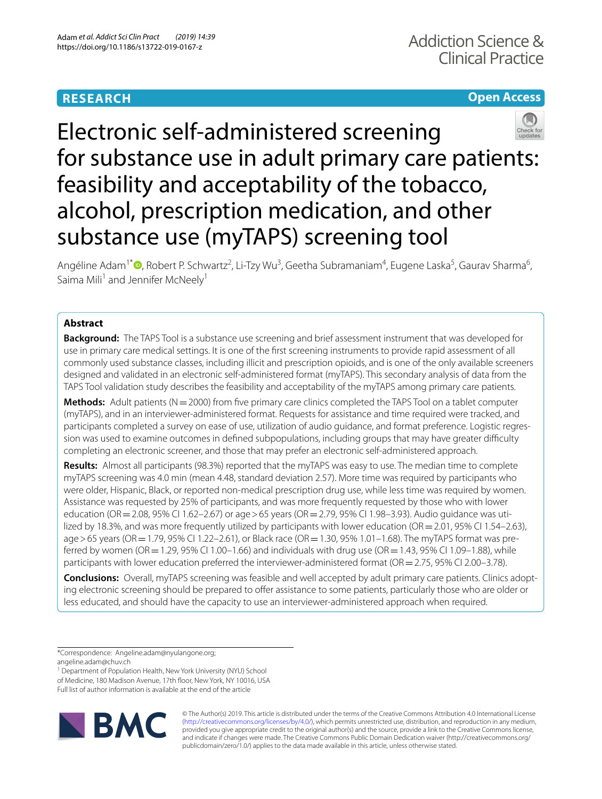# **RESEARCH**

# **Open Access**



# Electronic self-administered screening for substance use in adult primary care patients: feasibility and acceptability of the tobacco, alcohol, prescription medication, and other substance use (myTAPS) screening tool

Angéline Adam<sup>1[\\*](http://orcid.org/0000-0002-4874-7758)</sup><sup>®</sup>, Robert P. Schwartz<sup>2</sup>, Li-Tzy Wu<sup>3</sup>, Geetha Subramaniam<sup>4</sup>, Eugene Laska<sup>5</sup>, Gaurav Sharma<sup>6</sup>, Saima Mili<sup>1</sup> and Jennifer McNeely<sup>1</sup>

## **Abstract**

**Background:** The TAPS Tool is a substance use screening and brief assessment instrument that was developed for use in primary care medical settings. It is one of the frst screening instruments to provide rapid assessment of all commonly used substance classes, including illicit and prescription opioids, and is one of the only available screeners designed and validated in an electronic self-administered format (myTAPS). This secondary analysis of data from the TAPS Tool validation study describes the feasibility and acceptability of the myTAPS among primary care patients.

**Methods:** Adult patients (N=2000) from five primary care clinics completed the TAPS Tool on a tablet computer (myTAPS), and in an interviewer-administered format. Requests for assistance and time required were tracked, and participants completed a survey on ease of use, utilization of audio quidance, and format preference. Logistic regression was used to examine outcomes in defined subpopulations, including groups that may have greater difficulty completing an electronic screener, and those that may prefer an electronic self-administered approach.

**Results:** Almost all participants (98.3%) reported that the myTAPS was easy to use. The median time to complete myTAPS screening was 4.0 min (mean 4.48, standard deviation 2.57). More time was required by participants who were older, Hispanic, Black, or reported non-medical prescription drug use, while less time was required by women. Assistance was requested by 25% of participants, and was more frequently requested by those who with lower education (OR = 2.08, 95% CI 1.62–2.67) or age > 65 years (OR = 2.79, 95% CI 1.98–3.93). Audio quidance was utilized by 18.3%, and was more frequently utilized by participants with lower education (OR = 2.01, 95% CI 1.54–2.63), age > 65 years (OR = 1.79, 95% CI 1.22–2.61), or Black race (OR = 1.30, 95% 1.01–1.68). The myTAPS format was preferred by women (OR = 1.29, 95% CI 1.00–1.66) and individuals with drug use (OR = 1.43, 95% CI 1.09–1.88), while participants with lower education preferred the interviewer-administered format (OR=2.75, 95% CI 2.00–3.78).

**Conclusions:** Overall, myTAPS screening was feasible and well accepted by adult primary care patients. Clinics adopt‑ ing electronic screening should be prepared to offer assistance to some patients, particularly those who are older or less educated, and should have the capacity to use an interviewer-administered approach when required.

\*Correspondence: Angeline.adam@nyulangone.org;

angeline.adam@chuv.ch

<sup>1</sup> Department of Population Health, New York University (NYU) School of Medicine, 180 Madison Avenue, 17th foor, New York, NY 10016, USA Full list of author information is available at the end of the article



© The Author(s) 2019. This article is distributed under the terms of the Creative Commons Attribution 4.0 International License [\(http://creativecommons.org/licenses/by/4.0/\)](http://creativecommons.org/licenses/by/4.0/), which permits unrestricted use, distribution, and reproduction in any medium, provided you give appropriate credit to the original author(s) and the source, provide a link to the Creative Commons license, and indicate if changes were made. The Creative Commons Public Domain Dedication waiver (http://creativecommons.org/ publicdomain/zero/1.0/) applies to the data made available in this article, unless otherwise stated.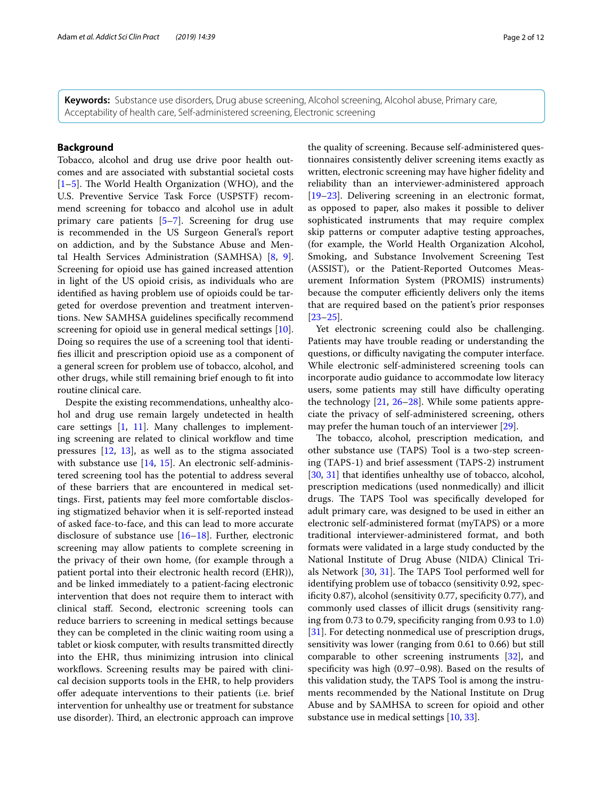**Keywords:** Substance use disorders, Drug abuse screening, Alcohol screening, Alcohol abuse, Primary care, Acceptability of health care, Self-administered screening, Electronic screening

## **Background**

Tobacco, alcohol and drug use drive poor health outcomes and are associated with substantial societal costs  $[1–5]$  $[1–5]$  $[1–5]$ . The World Health Organization (WHO), and the U.S. Preventive Service Task Force (USPSTF) recommend screening for tobacco and alcohol use in adult primary care patients [\[5](#page-10-1)[–7](#page-10-2)]. Screening for drug use is recommended in the US Surgeon General's report on addiction, and by the Substance Abuse and Mental Health Services Administration (SAMHSA) [[8,](#page-10-3) [9](#page-10-4)]. Screening for opioid use has gained increased attention in light of the US opioid crisis, as individuals who are identifed as having problem use of opioids could be targeted for overdose prevention and treatment interventions. New SAMHSA guidelines specifcally recommend screening for opioid use in general medical settings [\[10](#page-10-5)]. Doing so requires the use of a screening tool that identifes illicit and prescription opioid use as a component of a general screen for problem use of tobacco, alcohol, and other drugs, while still remaining brief enough to ft into routine clinical care.

Despite the existing recommendations, unhealthy alcohol and drug use remain largely undetected in health care settings [\[1](#page-10-0), [11\]](#page-10-6). Many challenges to implementing screening are related to clinical workflow and time pressures [[12,](#page-10-7) [13](#page-10-8)], as well as to the stigma associated with substance use [[14](#page-10-9), [15\]](#page-10-10). An electronic self-administered screening tool has the potential to address several of these barriers that are encountered in medical settings. First, patients may feel more comfortable disclosing stigmatized behavior when it is self-reported instead of asked face-to-face, and this can lead to more accurate disclosure of substance use [[16–](#page-10-11)[18](#page-10-12)]. Further, electronic screening may allow patients to complete screening in the privacy of their own home, (for example through a patient portal into their electronic health record (EHR)), and be linked immediately to a patient-facing electronic intervention that does not require them to interact with clinical staf. Second, electronic screening tools can reduce barriers to screening in medical settings because they can be completed in the clinic waiting room using a tablet or kiosk computer, with results transmitted directly into the EHR, thus minimizing intrusion into clinical workflows. Screening results may be paired with clinical decision supports tools in the EHR, to help providers ofer adequate interventions to their patients (i.e. brief intervention for unhealthy use or treatment for substance use disorder). Third, an electronic approach can improve the quality of screening. Because self-administered questionnaires consistently deliver screening items exactly as written, electronic screening may have higher fdelity and reliability than an interviewer-administered approach [[19–](#page-11-0)[23\]](#page-11-1). Delivering screening in an electronic format, as opposed to paper, also makes it possible to deliver sophisticated instruments that may require complex skip patterns or computer adaptive testing approaches, (for example, the World Health Organization Alcohol, Smoking, and Substance Involvement Screening Test (ASSIST), or the Patient-Reported Outcomes Measurement Information System (PROMIS) instruments) because the computer efficiently delivers only the items that are required based on the patient's prior responses [[23–](#page-11-1)[25\]](#page-11-2).

Yet electronic screening could also be challenging. Patients may have trouble reading or understanding the questions, or difficulty navigating the computer interface. While electronic self-administered screening tools can incorporate audio guidance to accommodate low literacy users, some patients may still have difficulty operating the technology [[21,](#page-11-3) [26](#page-11-4)[–28\]](#page-11-5). While some patients appreciate the privacy of self-administered screening, others may prefer the human touch of an interviewer [[29\]](#page-11-6).

The tobacco, alcohol, prescription medication, and other substance use (TAPS) Tool is a two-step screening (TAPS-1) and brief assessment (TAPS-2) instrument [[30,](#page-11-7) [31\]](#page-11-8) that identifies unhealthy use of tobacco, alcohol, prescription medications (used nonmedically) and illicit drugs. The TAPS Tool was specifically developed for adult primary care, was designed to be used in either an electronic self-administered format (myTAPS) or a more traditional interviewer-administered format, and both formats were validated in a large study conducted by the National Institute of Drug Abuse (NIDA) Clinical Trials Network  $[30, 31]$  $[30, 31]$  $[30, 31]$  $[30, 31]$ . The TAPS Tool performed well for identifying problem use of tobacco (sensitivity 0.92, specifcity 0.87), alcohol (sensitivity 0.77, specifcity 0.77), and commonly used classes of illicit drugs (sensitivity ranging from 0.73 to 0.79, specifcity ranging from 0.93 to 1.0) [[31\]](#page-11-8). For detecting nonmedical use of prescription drugs, sensitivity was lower (ranging from 0.61 to 0.66) but still comparable to other screening instruments [[32](#page-11-9)], and specifcity was high (0.97–0.98). Based on the results of this validation study, the TAPS Tool is among the instruments recommended by the National Institute on Drug Abuse and by SAMHSA to screen for opioid and other substance use in medical settings [\[10,](#page-10-5) [33](#page-11-10)].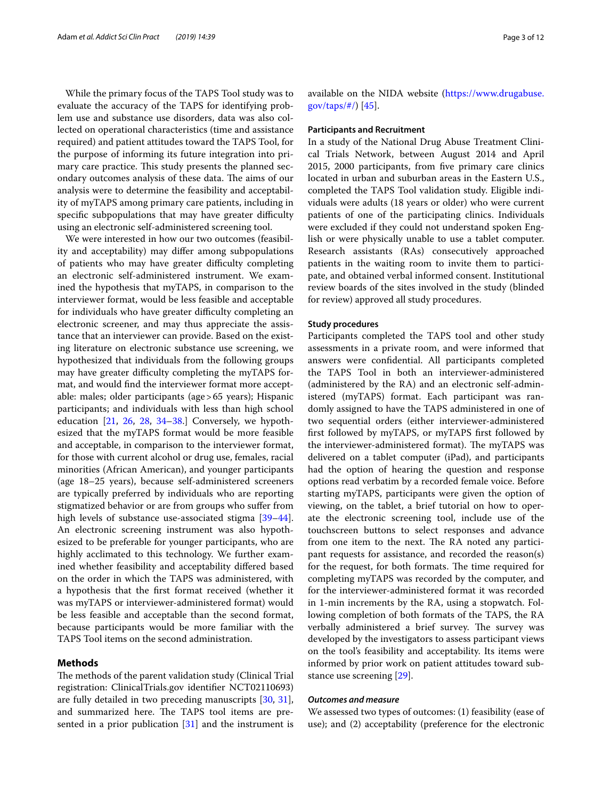While the primary focus of the TAPS Tool study was to evaluate the accuracy of the TAPS for identifying problem use and substance use disorders, data was also collected on operational characteristics (time and assistance required) and patient attitudes toward the TAPS Tool, for the purpose of informing its future integration into primary care practice. This study presents the planned secondary outcomes analysis of these data. The aims of our analysis were to determine the feasibility and acceptability of myTAPS among primary care patients, including in specific subpopulations that may have greater difficulty using an electronic self-administered screening tool.

We were interested in how our two outcomes (feasibility and acceptability) may difer among subpopulations of patients who may have greater difficulty completing an electronic self-administered instrument. We examined the hypothesis that myTAPS, in comparison to the interviewer format, would be less feasible and acceptable for individuals who have greater difficulty completing an electronic screener, and may thus appreciate the assistance that an interviewer can provide. Based on the existing literature on electronic substance use screening, we hypothesized that individuals from the following groups may have greater difficulty completing the myTAPS format, and would fnd the interviewer format more acceptable: males; older participants (age>65 years); Hispanic participants; and individuals with less than high school education [[21,](#page-11-3) [26](#page-11-4), [28](#page-11-5), [34–](#page-11-11)[38](#page-11-12).] Conversely, we hypothesized that the myTAPS format would be more feasible and acceptable, in comparison to the interviewer format, for those with current alcohol or drug use, females, racial minorities (African American), and younger participants (age 18–25 years), because self-administered screeners are typically preferred by individuals who are reporting stigmatized behavior or are from groups who sufer from high levels of substance use-associated stigma [[39](#page-11-13)[–44](#page-11-14)]. An electronic screening instrument was also hypothesized to be preferable for younger participants, who are highly acclimated to this technology. We further examined whether feasibility and acceptability difered based on the order in which the TAPS was administered, with a hypothesis that the frst format received (whether it was myTAPS or interviewer-administered format) would be less feasible and acceptable than the second format, because participants would be more familiar with the TAPS Tool items on the second administration.

## **Methods**

The methods of the parent validation study (Clinical Trial registration: ClinicalTrials.gov identifer NCT02110693) are fully detailed in two preceding manuscripts [\[30,](#page-11-7) [31](#page-11-8)], and summarized here. The TAPS tool items are presented in a prior publication [\[31](#page-11-8)] and the instrument is available on the NIDA website ([https://www.drugabuse.](https://www.drugabuse.gov/taps/#/) [gov/taps/#/\)](https://www.drugabuse.gov/taps/#/) [\[45](#page-11-15)].

## **Participants and Recruitment**

In a study of the National Drug Abuse Treatment Clinical Trials Network, between August 2014 and April 2015, 2000 participants, from fve primary care clinics located in urban and suburban areas in the Eastern U.S., completed the TAPS Tool validation study. Eligible individuals were adults (18 years or older) who were current patients of one of the participating clinics. Individuals were excluded if they could not understand spoken English or were physically unable to use a tablet computer. Research assistants (RAs) consecutively approached patients in the waiting room to invite them to participate, and obtained verbal informed consent. Institutional review boards of the sites involved in the study (blinded for review) approved all study procedures.

## **Study procedures**

Participants completed the TAPS tool and other study assessments in a private room, and were informed that answers were confdential. All participants completed the TAPS Tool in both an interviewer-administered (administered by the RA) and an electronic self-administered (myTAPS) format. Each participant was randomly assigned to have the TAPS administered in one of two sequential orders (either interviewer-administered frst followed by myTAPS, or myTAPS frst followed by the interviewer-administered format). The myTAPS was delivered on a tablet computer (iPad), and participants had the option of hearing the question and response options read verbatim by a recorded female voice. Before starting myTAPS, participants were given the option of viewing, on the tablet, a brief tutorial on how to operate the electronic screening tool, include use of the touchscreen buttons to select responses and advance from one item to the next. The RA noted any participant requests for assistance, and recorded the reason(s) for the request, for both formats. The time required for completing myTAPS was recorded by the computer, and for the interviewer-administered format it was recorded in 1-min increments by the RA, using a stopwatch. Following completion of both formats of the TAPS, the RA verbally administered a brief survey. The survey was developed by the investigators to assess participant views on the tool's feasibility and acceptability. Its items were informed by prior work on patient attitudes toward substance use screening [[29\]](#page-11-6).

## *Outcomes and measure*

We assessed two types of outcomes: (1) feasibility (ease of use); and (2) acceptability (preference for the electronic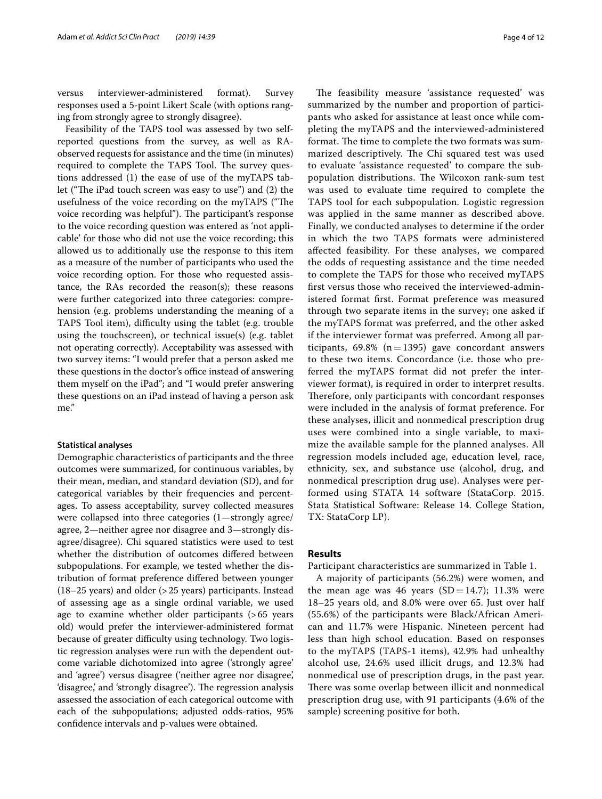versus interviewer-administered format). Survey responses used a 5-point Likert Scale (with options ranging from strongly agree to strongly disagree).

Feasibility of the TAPS tool was assessed by two selfreported questions from the survey, as well as RAobserved requests for assistance and the time (in minutes) required to complete the TAPS Tool. The survey questions addressed (1) the ease of use of the myTAPS tablet ("The iPad touch screen was easy to use") and (2) the usefulness of the voice recording on the myTAPS ("The voice recording was helpful"). The participant's response to the voice recording question was entered as 'not applicable' for those who did not use the voice recording; this allowed us to additionally use the response to this item as a measure of the number of participants who used the voice recording option. For those who requested assistance, the RAs recorded the reason(s); these reasons were further categorized into three categories: comprehension (e.g. problems understanding the meaning of a TAPS Tool item), difficulty using the tablet (e.g. trouble using the touchscreen), or technical issue(s) (e.g. tablet not operating correctly). Acceptability was assessed with two survey items: "I would prefer that a person asked me these questions in the doctor's office instead of answering them myself on the iPad"; and "I would prefer answering these questions on an iPad instead of having a person ask me."

#### **Statistical analyses**

Demographic characteristics of participants and the three outcomes were summarized, for continuous variables, by their mean, median, and standard deviation (SD), and for categorical variables by their frequencies and percentages. To assess acceptability, survey collected measures were collapsed into three categories (1—strongly agree/ agree, 2—neither agree nor disagree and 3—strongly disagree/disagree). Chi squared statistics were used to test whether the distribution of outcomes difered between subpopulations. For example, we tested whether the distribution of format preference difered between younger (18–25 years) and older (>25 years) participants. Instead of assessing age as a single ordinal variable, we used age to examine whether older participants (>65 years old) would prefer the interviewer-administered format because of greater difficulty using technology. Two logistic regression analyses were run with the dependent outcome variable dichotomized into agree ('strongly agree' and 'agree') versus disagree ('neither agree nor disagree', 'disagree', and 'strongly disagree'). The regression analysis assessed the association of each categorical outcome with each of the subpopulations; adjusted odds-ratios, 95% confdence intervals and p-values were obtained.

The feasibility measure 'assistance requested' was summarized by the number and proportion of participants who asked for assistance at least once while completing the myTAPS and the interviewed-administered format. The time to complete the two formats was summarized descriptively. The Chi squared test was used to evaluate 'assistance requested' to compare the subpopulation distributions. The Wilcoxon rank-sum test was used to evaluate time required to complete the TAPS tool for each subpopulation. Logistic regression was applied in the same manner as described above. Finally, we conducted analyses to determine if the order in which the two TAPS formats were administered afected feasibility. For these analyses, we compared the odds of requesting assistance and the time needed to complete the TAPS for those who received myTAPS frst versus those who received the interviewed-administered format frst. Format preference was measured through two separate items in the survey; one asked if the myTAPS format was preferred, and the other asked if the interviewer format was preferred. Among all participants, 69.8% ( $n=1395$ ) gave concordant answers to these two items. Concordance (i.e. those who preferred the myTAPS format did not prefer the interviewer format), is required in order to interpret results. Therefore, only participants with concordant responses were included in the analysis of format preference. For these analyses, illicit and nonmedical prescription drug uses were combined into a single variable, to maximize the available sample for the planned analyses. All regression models included age, education level, race, ethnicity, sex, and substance use (alcohol, drug, and nonmedical prescription drug use). Analyses were performed using STATA 14 software (StataCorp. 2015. Stata Statistical Software: Release 14. College Station, TX: StataCorp LP).

## **Results**

Participant characteristics are summarized in Table [1.](#page-4-0)

A majority of participants (56.2%) were women, and the mean age was 46 years  $(SD=14.7)$ ; 11.3% were 18–25 years old, and 8.0% were over 65. Just over half (55.6%) of the participants were Black/African American and 11.7% were Hispanic. Nineteen percent had less than high school education. Based on responses to the myTAPS (TAPS-1 items), 42.9% had unhealthy alcohol use, 24.6% used illicit drugs, and 12.3% had nonmedical use of prescription drugs, in the past year. There was some overlap between illicit and nonmedical prescription drug use, with 91 participants (4.6% of the sample) screening positive for both.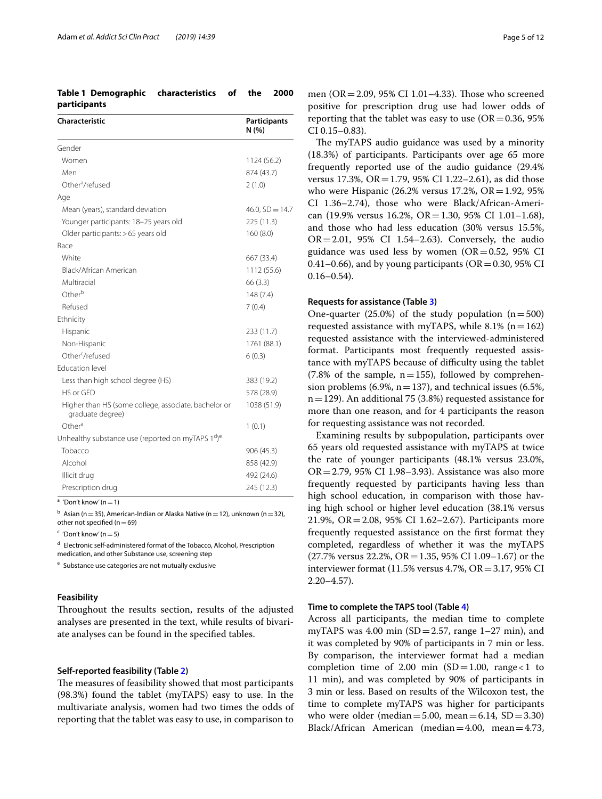<span id="page-4-0"></span>**Table 1 Demographic characteristics of the 2000 participants**

| Characteristic                                                            | Participants<br>N(%) |
|---------------------------------------------------------------------------|----------------------|
| Gender                                                                    |                      |
| Women                                                                     | 1124 (56.2)          |
| Men                                                                       | 874 (43.7)           |
| Other <sup>a</sup> /refused                                               | 2(1.0)               |
| Age                                                                       |                      |
| Mean (years), standard deviation                                          | $46.0, SD = 14.7$    |
| Younger participants: 18-25 years old                                     | 225 (11.3)           |
| Older participants: > 65 years old                                        | 160(8.0)             |
| Race                                                                      |                      |
| White                                                                     | 667 (33.4)           |
| Black/African American                                                    | 1112 (55.6)          |
| Multiracial                                                               | 66(3.3)              |
| Otherb                                                                    | 148(7.4)             |
| Refused                                                                   | 7(0.4)               |
| Ethnicity                                                                 |                      |
| Hispanic                                                                  | 233 (11.7)           |
| Non-Hispanic                                                              | 1761 (88.1)          |
| Other <sup>c</sup> /refused                                               | 6(0.3)               |
| <b>Fducation level</b>                                                    |                      |
| Less than high school degree (HS)                                         | 383 (19.2)           |
| HS or GED                                                                 | 578 (28.9)           |
| Higher than HS (some college, associate, bachelor or<br>graduate degree)  | 1038 (51.9)          |
| Other <sup>a</sup>                                                        | 1(0.1)               |
| Unhealthy substance use (reported on myTAPS 1 <sup>d</sup> ) <sup>e</sup> |                      |
| Tobacco                                                                   | 906 (45.3)           |
| Alcohol                                                                   | 858 (42.9)           |
| Illicit drug                                                              | 492 (24.6)           |
| Prescription drug                                                         | 245 (12.3)           |

 $a$  'Don't know' (n = 1)

 $<sup>b</sup>$  Asian (n = 35), American-Indian or Alaska Native (n = 12), unknown (n = 32),</sup> other not specified  $(n=69)$ 

 $c$  'Don't know' (n  $-5$ )

<sup>d</sup> Electronic self-administered format of the Tobacco, Alcohol, Prescription medication, and other Substance use, screening step

<sup>e</sup> Substance use categories are not mutually exclusive

## **Feasibility**

Throughout the results section, results of the adjusted analyses are presented in the text, while results of bivariate analyses can be found in the specifed tables.

## **Self‑reported feasibility (Table [2\)](#page-5-0)**

The measures of feasibility showed that most participants (98.3%) found the tablet (myTAPS) easy to use. In the multivariate analysis, women had two times the odds of reporting that the tablet was easy to use, in comparison to men (OR=2.09, 95% CI 1.01–4.33). Those who screened positive for prescription drug use had lower odds of reporting that the tablet was easy to use  $(OR=0.36, 95\%)$ CI 0.15–0.83).

The myTAPS audio guidance was used by a minority (18.3%) of participants. Participants over age 65 more frequently reported use of the audio guidance (29.4% versus 17.3%, OR = 1.79, 95% CI 1.22–2.61), as did those who were Hispanic (26.2% versus 17.2%,  $OR = 1.92$ , 95% CI 1.36–2.74), those who were Black/African-American (19.9% versus 16.2%, OR=1.30, 95% CI 1.01–1.68), and those who had less education (30% versus 15.5%,  $OR = 2.01$ , 95% CI 1.54–2.63). Conversely, the audio guidance was used less by women  $(OR=0.52, 95\%)$  CI 0.41–0.66), and by young participants ( $OR = 0.30$ , 95% CI 0.16–0.54).

## **Requests for assistance (Table [3\)](#page-6-0)**

One-quarter (25.0%) of the study population  $(n=500)$ requested assistance with myTAPS, while 8.1%  $(n=162)$ requested assistance with the interviewed-administered format. Participants most frequently requested assistance with myTAPS because of difficulty using the tablet  $(7.8\% \text{ of the sample, } n=155)$ , followed by comprehension problems (6.9%,  $n=137$ ), and technical issues (6.5%,  $n=129$ ). An additional 75 (3.8%) requested assistance for more than one reason, and for 4 participants the reason for requesting assistance was not recorded.

Examining results by subpopulation, participants over 65 years old requested assistance with myTAPS at twice the rate of younger participants (48.1% versus 23.0%, OR=2.79, 95% CI 1.98–3.93). Assistance was also more frequently requested by participants having less than high school education, in comparison with those having high school or higher level education (38.1% versus 21.9%, OR=2.08, 95% CI 1.62–2.67). Participants more frequently requested assistance on the frst format they completed, regardless of whether it was the myTAPS (27.7% versus 22.2%, OR=1.35, 95% CI 1.09–1.67) or the interviewer format (11.5% versus 4.7%,  $OR = 3.17$ , 95% CI  $2.20 - 4.57$ ).

## **Time to complete the TAPS tool (Table [4\)](#page-7-0)**

Across all participants, the median time to complete myTAPS was 4.00 min  $SD = 2.57$ , range 1–27 min), and it was completed by 90% of participants in 7 min or less. By comparison, the interviewer format had a median completion time of 2.00 min  $(SD=1.00, \text{ range} < 1 \text{ to}$ 11 min), and was completed by 90% of participants in 3 min or less. Based on results of the Wilcoxon test, the time to complete myTAPS was higher for participants who were older (median=5.00, mean=6.14,  $SD = 3.30$ ) Black/African American (median=4.00, mean=4.73,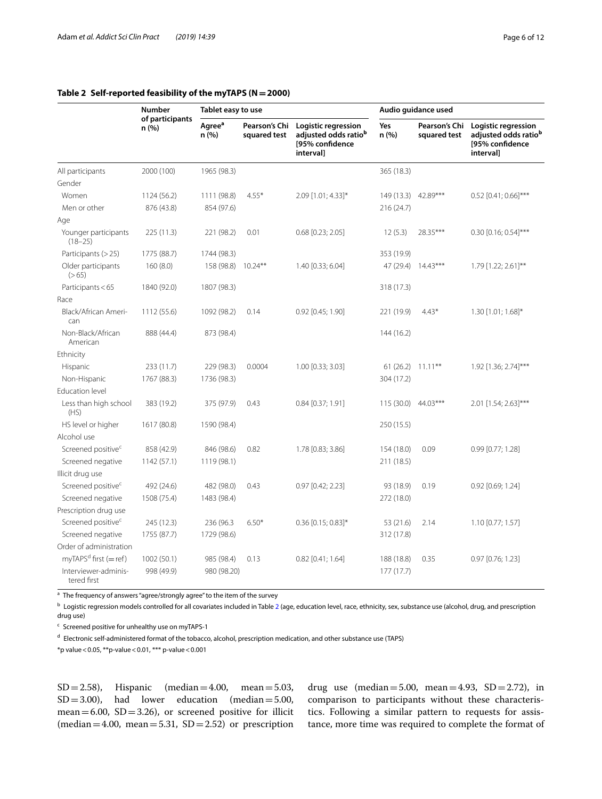|                                     | <b>Number</b><br>of participants<br>n (%) | Tablet easy to use          |                               | Audio guidance used                                                                     |                     |                               |                                                                                         |
|-------------------------------------|-------------------------------------------|-----------------------------|-------------------------------|-----------------------------------------------------------------------------------------|---------------------|-------------------------------|-----------------------------------------------------------------------------------------|
|                                     |                                           | Agree <sup>a</sup><br>n (%) | Pearson's Chi<br>squared test | Logistic regression<br>adjusted odds ratio <sup>b</sup><br>[95% confidence<br>interval] | Yes<br>n (%)        | Pearson's Chi<br>squared test | Logistic regression<br>adjusted odds ratio <sup>b</sup><br>[95% confidence<br>interval] |
| All participants                    | 2000 (100)                                | 1965 (98.3)                 |                               |                                                                                         | 365 (18.3)          |                               |                                                                                         |
| Gender                              |                                           |                             |                               |                                                                                         |                     |                               |                                                                                         |
| Women                               | 1124 (56.2)                               | 1111 (98.8)                 | $4.55*$                       | 2.09 [1.01; 4.33]*                                                                      | 149 (13.3) 42.89*** |                               | $0.52$ [0.41; 0.66]***                                                                  |
| Men or other                        | 876 (43.8)                                | 854 (97.6)                  |                               |                                                                                         | 216 (24.7)          |                               |                                                                                         |
| Age                                 |                                           |                             |                               |                                                                                         |                     |                               |                                                                                         |
| Younger participants<br>$(18 - 25)$ | 225 (11.3)                                | 221 (98.2)                  | 0.01                          | $0.68$ [0.23; 2.05]                                                                     | 12(5.3)             | 28.35***                      | 0.30 [0.16; 0.54]***                                                                    |
| Participants (>25)                  | 1775 (88.7)                               | 1744 (98.3)                 |                               |                                                                                         | 353 (19.9)          |                               |                                                                                         |
| Older participants<br>(>65)         | 160(8.0)                                  | 158 (98.8)                  | $10.24***$                    | 1.40 [0.33; 6.04]                                                                       |                     | 47 (29.4) 14.43***            | 1.79 [1.22; 2.61]**                                                                     |
| Participants < 65                   | 1840 (92.0)                               | 1807 (98.3)                 |                               |                                                                                         | 318 (17.3)          |                               |                                                                                         |
| Race                                |                                           |                             |                               |                                                                                         |                     |                               |                                                                                         |
| Black/African Ameri-<br>can         | 1112 (55.6)                               | 1092 (98.2)                 | 0.14                          | $0.92$ [0.45; 1.90]                                                                     | 221 (19.9)          | $4.43*$                       | 1.30 [1.01; 1.68]*                                                                      |
| Non-Black/African<br>American       | 888 (44.4)                                | 873 (98.4)                  |                               |                                                                                         | 144 (16.2)          |                               |                                                                                         |
| Ethnicity                           |                                           |                             |                               |                                                                                         |                     |                               |                                                                                         |
| Hispanic                            | 233 (11.7)                                | 229 (98.3)                  | 0.0004                        | 1.00 [0.33; 3.03]                                                                       | 61(26.2)            | $11.11***$                    | 1.92 [1.36; 2.74]***                                                                    |
| Non-Hispanic                        | 1767 (88.3)                               | 1736 (98.3)                 |                               |                                                                                         | 304 (17.2)          |                               |                                                                                         |
| Education level                     |                                           |                             |                               |                                                                                         |                     |                               |                                                                                         |
| Less than high school<br>(HS)       | 383 (19.2)                                | 375 (97.9)                  | 0.43                          | $0.84$ [0.37; 1.91]                                                                     | 115(30.0)           | 44.03***                      | 2.01 [1.54; 2.63]***                                                                    |
| HS level or higher                  | 1617 (80.8)                               | 1590 (98.4)                 |                               |                                                                                         | 250 (15.5)          |                               |                                                                                         |
| Alcohol use                         |                                           |                             |                               |                                                                                         |                     |                               |                                                                                         |
| Screened positive <sup>c</sup>      | 858 (42.9)                                | 846 (98.6)                  | 0.82                          | 1.78 [0.83; 3.86]                                                                       | 154 (18.0)          | 0.09                          | 0.99 [0.77; 1.28]                                                                       |
| Screened negative                   | 1142 (57.1)                               | 1119 (98.1)                 |                               |                                                                                         | 211 (18.5)          |                               |                                                                                         |
| Illicit drug use                    |                                           |                             |                               |                                                                                         |                     |                               |                                                                                         |
| Screened positive <sup>c</sup>      | 492 (24.6)                                | 482 (98.0)                  | 0.43                          | $0.97$ $[0.42; 2.23]$                                                                   | 93 (18.9)           | 0.19                          | 0.92 [0.69; 1.24]                                                                       |
| Screened negative                   | 1508 (75.4)                               | 1483 (98.4)                 |                               |                                                                                         | 272 (18.0)          |                               |                                                                                         |
| Prescription drug use               |                                           |                             |                               |                                                                                         |                     |                               |                                                                                         |
| Screened positive <sup>c</sup>      | 245 (12.3)                                | 236 (96.3                   | $6.50*$                       | $0.36$ [0.15; 0.83]*                                                                    | 53 (21.6)           | 2.14                          | $1.10$ [0.77; 1.57]                                                                     |
| Screened negative                   | 1755 (87.7)                               | 1729 (98.6)                 |                               |                                                                                         | 312 (17.8)          |                               |                                                                                         |
| Order of administration             |                                           |                             |                               |                                                                                         |                     |                               |                                                                                         |
| $myTAPSd first (= ref)$             | 1002 (50.1)                               | 985 (98.4)                  | 0.13                          | $0.82$ [0.41; 1.64]                                                                     | 188 (18.8)          | 0.35                          | 0.97 [0.76; 1.23]                                                                       |
| Interviewer-adminis-<br>tered first | 998 (49.9)                                | 980 (98.20)                 |                               |                                                                                         | 177(17.7)           |                               |                                                                                         |

## <span id="page-5-0"></span>**Table 2 Self-reported feasibility of the myTAPS (N=2000)**

a The frequency of answers "agree/strongly agree" to the item of the survey

<sup>b</sup> Logistic regression models controlled for all covariates included in Table [2](#page-5-0) (age, education level, race, ethnicity, sex, substance use (alcohol, drug, and prescription drug use)

<sup>c</sup> Screened positive for unhealthy use on myTAPS-1

<sup>d</sup> Electronic self-administered format of the tobacco, alcohol, prescription medication, and other substance use (TAPS)

 $*$ p value < 0.05,  $*$  $*$ p-value < 0.01,  $*$  $*$  $*$  p-value < 0.001

SD=2.58), Hispanic (median=4.00, mean=5.03,  $SD = 3.00$ ), had lower education (median=5.00, mean=6.00,  $SD = 3.26$ ), or screened positive for illicit (median=4.00, mean=5.31,  $SD = 2.52$ ) or prescription drug use  $(median = 5.00, mean = 4.93, SD = 2.72)$ , in comparison to participants without these characteristics. Following a similar pattern to requests for assistance, more time was required to complete the format of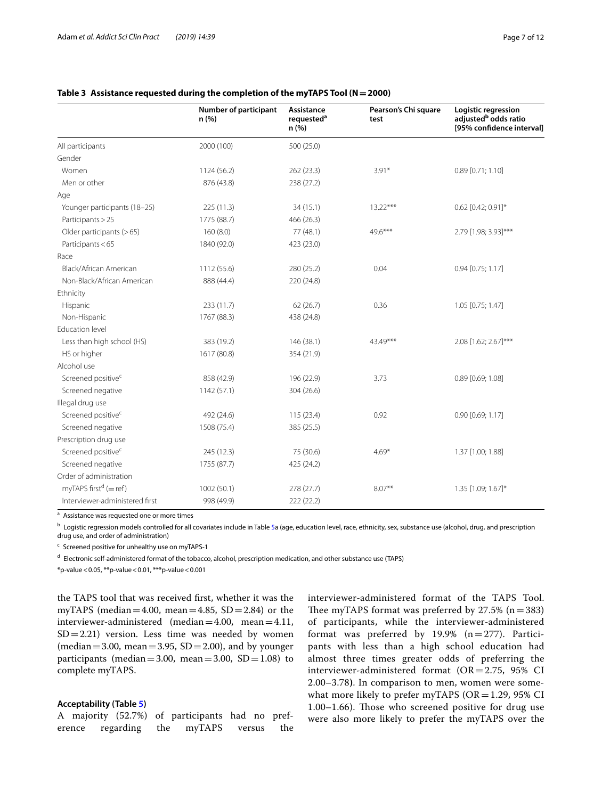| Page / of |
|-----------|
|           |

|                                   | Number of participant<br>n (%) | Assistance<br>requested <sup>a</sup><br>n (%) | Pearson's Chi square<br>test | Logistic regression<br>adjusted <sup>b</sup> odds ratio<br>[95% confidence interval] |
|-----------------------------------|--------------------------------|-----------------------------------------------|------------------------------|--------------------------------------------------------------------------------------|
| All participants                  | 2000 (100)                     | 500 (25.0)                                    |                              |                                                                                      |
| Gender                            |                                |                                               |                              |                                                                                      |
| Women                             | 1124 (56.2)                    | 262 (23.3)                                    | $3.91*$                      | $0.89$ [0.71; 1.10]                                                                  |
| Men or other                      | 876 (43.8)                     | 238 (27.2)                                    |                              |                                                                                      |
| Age                               |                                |                                               |                              |                                                                                      |
| Younger participants (18-25)      | 225 (11.3)                     | 34 (15.1)                                     | 13.22***                     | 0.62 [0.42; 0.91]*                                                                   |
| Participants > 25                 | 1775 (88.7)                    | 466 (26.3)                                    |                              |                                                                                      |
| Older participants (>65)          | 160(8.0)                       | 77 (48.1)                                     | 49.6***                      | 2.79 [1.98; 3.93]***                                                                 |
| Participants < 65                 | 1840 (92.0)                    | 423 (23.0)                                    |                              |                                                                                      |
| Race                              |                                |                                               |                              |                                                                                      |
| Black/African American            | 1112 (55.6)                    | 280 (25.2)                                    | 0.04                         | 0.94 [0.75; 1.17]                                                                    |
| Non-Black/African American        | 888 (44.4)                     | 220 (24.8)                                    |                              |                                                                                      |
| Ethnicity                         |                                |                                               |                              |                                                                                      |
| Hispanic                          | 233 (11.7)                     | 62(26.7)                                      | 0.36                         | 1.05 [0.75; 1.47]                                                                    |
| Non-Hispanic                      | 1767 (88.3)                    | 438 (24.8)                                    |                              |                                                                                      |
| Education level                   |                                |                                               |                              |                                                                                      |
| Less than high school (HS)        | 383 (19.2)                     | 146 (38.1)                                    | 43.49***                     | 2.08 [1.62; 2.67]***                                                                 |
| HS or higher                      | 1617 (80.8)                    | 354 (21.9)                                    |                              |                                                                                      |
| Alcohol use                       |                                |                                               |                              |                                                                                      |
| Screened positive <sup>c</sup>    | 858 (42.9)                     | 196 (22.9)                                    | 3.73                         | 0.89 [0.69; 1.08]                                                                    |
| Screened negative                 | 1142 (57.1)                    | 304 (26.6)                                    |                              |                                                                                      |
| Illegal drug use                  |                                |                                               |                              |                                                                                      |
| Screened positive <sup>c</sup>    | 492 (24.6)                     | 115(23.4)                                     | 0.92                         | 0.90 [0.69; 1.17]                                                                    |
| Screened negative                 | 1508 (75.4)                    | 385 (25.5)                                    |                              |                                                                                      |
| Prescription drug use             |                                |                                               |                              |                                                                                      |
| Screened positive <sup>c</sup>    | 245 (12.3)                     | 75 (30.6)                                     | $4.69*$                      | 1.37 [1.00; 1.88]                                                                    |
| Screened negative                 | 1755 (87.7)                    | 425 (24.2)                                    |                              |                                                                                      |
| Order of administration           |                                |                                               |                              |                                                                                      |
| myTAPS first <sup>d</sup> (= ref) | 1002 (50.1)                    | 278 (27.7)                                    | $8.07***$                    | 1.35 [1.09; 1.67]*                                                                   |
| Interviewer-administered first    | 998 (49.9)                     | 222 (22.2)                                    |                              |                                                                                      |

## <span id="page-6-0"></span>**Table 3 Assistance requested during the completion of the myTAPS Tool (N=2000)**

<sup>a</sup> Assistance was requested one or more times

<sup>b</sup> Logistic regression models controlled for all covariates include in Table [5](#page-8-0)a (age, education level, race, ethnicity, sex, substance use (alcohol, drug, and prescription drug use, and order of administration)

 $c$  Screened positive for unhealthy use on myTAPS-1

<sup>d</sup> Electronic self-administered format of the tobacco, alcohol, prescription medication, and other substance use (TAPS)

\*p-value<0.05, \*\*p-value<0.01, \*\*\*p-value<0.001

the TAPS tool that was received frst, whether it was the myTAPS (median=4.00, mean=4.85,  $SD = 2.84$ ) or the interviewer-administered (median=4.00, mean=4.11,  $SD = 2.21$ ) version. Less time was needed by women  $(\text{median} = 3.00, \text{mean} = 3.95, \text{SD} = 2.00)$ , and by younger participants (median=3.00, mean=3.00,  $SD = 1.08$ ) to complete myTAPS.

## **Acceptability (Table [5](#page-8-0))**

A majority (52.7%) of participants had no preference regarding the myTAPS versus the interviewer-administered format of the TAPS Tool. Thee myTAPS format was preferred by  $27.5\%$  (n = 383) of participants, while the interviewer-administered format was preferred by 19.9%  $(n=277)$ . Participants with less than a high school education had almost three times greater odds of preferring the interviewer-administered format (OR=2.75, 95% CI 2.00–3.78**)**. In comparison to men, women were somewhat more likely to prefer myTAPS ( $OR = 1.29$ , 95% CI  $1.00-1.66$ ). Those who screened positive for drug use were also more likely to prefer the myTAPS over the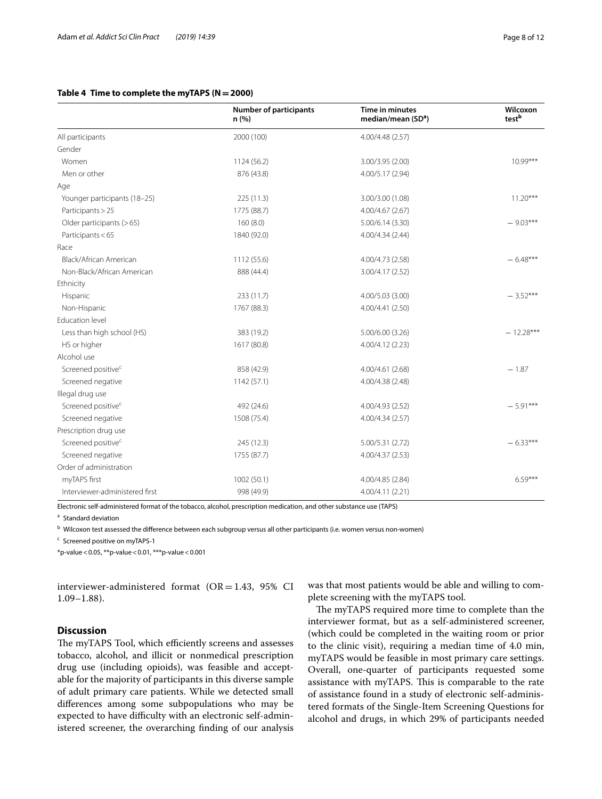## <span id="page-7-0"></span>**Table 4 Time to complete the myTAPS (N=2000)**

|                                | <b>Number of participants</b><br>n(%) | <b>Time in minutes</b><br>median/mean (SD <sup>a</sup> ) | Wilcoxon<br>test <sup>b</sup> |
|--------------------------------|---------------------------------------|----------------------------------------------------------|-------------------------------|
| All participants               | 2000 (100)                            | 4.00/4.48 (2.57)                                         |                               |
| Gender                         |                                       |                                                          |                               |
| Women                          | 1124 (56.2)                           | 3.00/3.95 (2.00)                                         | $10.99***$                    |
| Men or other                   | 876 (43.8)                            | 4.00/5.17 (2.94)                                         |                               |
| Age                            |                                       |                                                          |                               |
| Younger participants (18-25)   | 225 (11.3)                            | 3.00/3.00 (1.08)                                         | $11.20***$                    |
| Participants > 25              | 1775 (88.7)                           | 4.00/4.67 (2.67)                                         |                               |
| Older participants (>65)       | 160(8.0)                              | 5.00/6.14 (3.30)                                         | $-9.03***$                    |
| Participants < 65              | 1840 (92.0)                           | 4.00/4.34 (2.44)                                         |                               |
| Race                           |                                       |                                                          |                               |
| Black/African American         | 1112 (55.6)                           | 4.00/4.73 (2.58)                                         | $-6.48***$                    |
| Non-Black/African American     | 888 (44.4)                            | 3.00/4.17 (2.52)                                         |                               |
| Ethnicity                      |                                       |                                                          |                               |
| Hispanic                       | 233 (11.7)                            | 4.00/5.03 (3.00)                                         | $-3.52***$                    |
| Non-Hispanic                   | 1767 (88.3)                           | 4.00/4.41 (2.50)                                         |                               |
| <b>Education level</b>         |                                       |                                                          |                               |
| Less than high school (HS)     | 383 (19.2)                            | 5.00/6.00 (3.26)                                         | $-12.28***$                   |
| HS or higher                   | 1617 (80.8)                           | 4.00/4.12 (2.23)                                         |                               |
| Alcohol use                    |                                       |                                                          |                               |
| Screened positive <sup>c</sup> | 858 (42.9)                            | 4.00/4.61 (2.68)                                         | $-1.87$                       |
| Screened negative              | 1142 (57.1)                           | 4.00/4.38 (2.48)                                         |                               |
| Illegal drug use               |                                       |                                                          |                               |
| Screened positive <sup>c</sup> | 492 (24.6)                            | 4.00/4.93 (2.52)                                         | $-5.91***$                    |
| Screened negative              | 1508 (75.4)                           | 4.00/4.34 (2.57)                                         |                               |
| Prescription drug use          |                                       |                                                          |                               |
| Screened positive <sup>c</sup> | 245 (12.3)                            | 5.00/5.31 (2.72)                                         | $-6.33***$                    |
| Screened negative              | 1755 (87.7)                           | 4.00/4.37 (2.53)                                         |                               |
| Order of administration        |                                       |                                                          |                               |
| myTAPS first                   | 1002 (50.1)                           | 4.00/4.85 (2.84)                                         | $6.59***$                     |
| Interviewer-administered first | 998 (49.9)                            | 4.00/4.11 (2.21)                                         |                               |

Electronic self-administered format of the tobacco, alcohol, prescription medication, and other substance use (TAPS)

<sup>a</sup> Standard deviation

<sup>b</sup> Wilcoxon test assessed the diference between each subgroup versus all other participants (i.e. women versus non-women)

<sup>c</sup> Screened positive on myTAPS-1

\*p-value<0.05, \*\*p-value<0.01, \*\*\*p-value<0.001

interviewer-administered format  $(OR=1.43, 95\%$  CI 1.09–1.88).

## **Discussion**

The myTAPS Tool, which efficiently screens and assesses tobacco, alcohol, and illicit or nonmedical prescription drug use (including opioids), was feasible and acceptable for the majority of participants in this diverse sample of adult primary care patients. While we detected small diferences among some subpopulations who may be expected to have difficulty with an electronic self-administered screener, the overarching fnding of our analysis was that most patients would be able and willing to complete screening with the myTAPS tool.

The myTAPS required more time to complete than the interviewer format, but as a self-administered screener, (which could be completed in the waiting room or prior to the clinic visit), requiring a median time of 4.0 min, myTAPS would be feasible in most primary care settings. Overall, one-quarter of participants requested some assistance with myTAPS. This is comparable to the rate of assistance found in a study of electronic self-administered formats of the Single-Item Screening Questions for alcohol and drugs, in which 29% of participants needed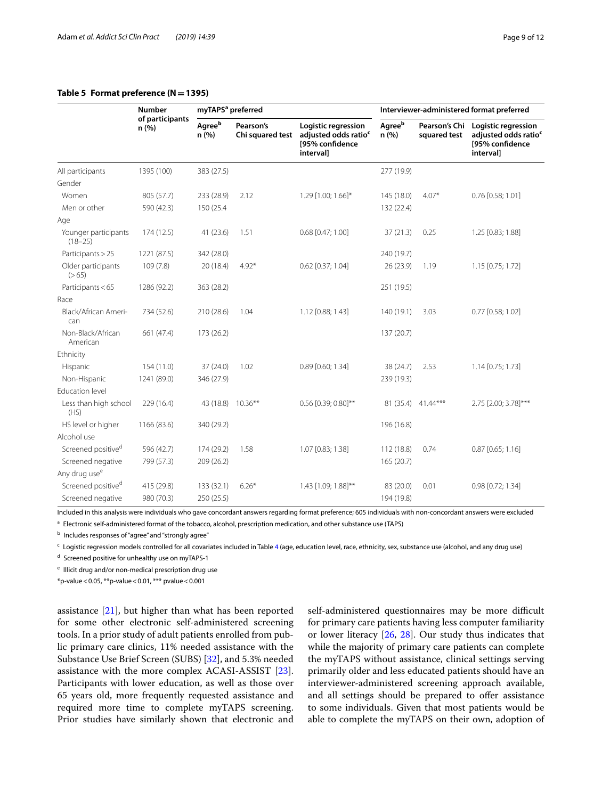## <span id="page-8-0"></span>**Table 5 Format preference (N=1395)**

|                                     | <b>Number</b><br>of participants<br>n(%) | myTAPS <sup>a</sup> preferred |                               |                                                                                         | Interviewer-administered format preferred |                                      |                                                                                         |
|-------------------------------------|------------------------------------------|-------------------------------|-------------------------------|-----------------------------------------------------------------------------------------|-------------------------------------------|--------------------------------------|-----------------------------------------------------------------------------------------|
|                                     |                                          | <b>Agree</b> b<br>n(% )       | Pearson's<br>Chi squared test | Logistic regression<br>adjusted odds ratio <sup>c</sup><br>[95% confidence<br>intervall | Aaree <sup>b</sup><br>n(% )               | <b>Pearson's Chi</b><br>squared test | Logistic regression<br>adjusted odds ratio <sup>c</sup><br>[95% confidence<br>intervall |
| All participants                    | 1395 (100)                               | 383 (27.5)                    |                               |                                                                                         | 277 (19.9)                                |                                      |                                                                                         |
| Gender                              |                                          |                               |                               |                                                                                         |                                           |                                      |                                                                                         |
| Women                               | 805 (57.7)                               | 233 (28.9)                    | 2.12                          | 1.29 [1.00; 1.66]*                                                                      | 145 (18.0)                                | $4.07*$                              | $0.76$ [0.58; 1.01]                                                                     |
| Men or other                        | 590 (42.3)                               | 150 (25.4)                    |                               |                                                                                         | 132 (22.4)                                |                                      |                                                                                         |
| Age                                 |                                          |                               |                               |                                                                                         |                                           |                                      |                                                                                         |
| Younger participants<br>$(18 - 25)$ | 174 (12.5)                               | 41 (23.6)                     | 1.51                          | $0.68$ [0.47; 1.00]                                                                     | 37(21.3)                                  | 0.25                                 | 1.25 [0.83; 1.88]                                                                       |
| Participants > 25                   | 1221 (87.5)                              | 342 (28.0)                    |                               |                                                                                         | 240 (19.7)                                |                                      |                                                                                         |
| Older participants<br>(>65)         | 109(7.8)                                 | 20 (18.4)                     | $4.92*$                       | 0.62 [0.37; 1.04]                                                                       | 26 (23.9)                                 | 1.19                                 | 1.15 [0.75; 1.72]                                                                       |
| Participants < 65                   | 1286 (92.2)                              | 363 (28.2)                    |                               |                                                                                         | 251 (19.5)                                |                                      |                                                                                         |
| Race                                |                                          |                               |                               |                                                                                         |                                           |                                      |                                                                                         |
| Black/African Ameri-<br>can         | 734 (52.6)                               | 210 (28.6)                    | 1.04                          | 1.12 [0.88; 1.43]                                                                       | 140 (19.1)                                | 3.03                                 | $0.77$ [0.58; 1.02]                                                                     |
| Non-Black/African<br>American       | 661 (47.4)                               | 173 (26.2)                    |                               |                                                                                         | 137 (20.7)                                |                                      |                                                                                         |
| Ethnicity                           |                                          |                               |                               |                                                                                         |                                           |                                      |                                                                                         |
| Hispanic                            | 154 (11.0)                               | 37 (24.0)                     | 1.02                          | 0.89 [0.60; 1.34]                                                                       | 38 (24.7)                                 | 2.53                                 | 1.14 [0.75; 1.73]                                                                       |
| Non-Hispanic                        | 1241 (89.0)                              | 346 (27.9)                    |                               |                                                                                         | 239 (19.3)                                |                                      |                                                                                         |
| <b>Education level</b>              |                                          |                               |                               |                                                                                         |                                           |                                      |                                                                                         |
| Less than high school<br>(HS)       | 229 (16.4)                               | 43 (18.8)                     | $10.36**$                     | 0.56 [0.39; 0.80]**                                                                     | 81 (35.4)                                 | $41.44***$                           | 2.75 [2.00; 3.78]***                                                                    |
| HS level or higher                  | 1166 (83.6)                              | 340 (29.2)                    |                               |                                                                                         | 196 (16.8)                                |                                      |                                                                                         |
| Alcohol use                         |                                          |                               |                               |                                                                                         |                                           |                                      |                                                                                         |
| Screened positive <sup>d</sup>      | 596 (42.7)                               | 174 (29.2)                    | 1.58                          | 1.07 [0.83; 1.38]                                                                       | 112 (18.8)                                | 0.74                                 | $0.87$ [0.65; 1.16]                                                                     |
| Screened negative                   | 799 (57.3)                               | 209 (26.2)                    |                               |                                                                                         | 165 (20.7)                                |                                      |                                                                                         |
| Any drug use <sup>e</sup>           |                                          |                               |                               |                                                                                         |                                           |                                      |                                                                                         |
| Screened positive <sup>d</sup>      | 415 (29.8)                               | 133 (32.1)                    | $6.26*$                       | 1.43 [1.09; 1.88]**                                                                     | 83 (20.0)                                 | 0.01                                 | 0.98 [0.72; 1.34]                                                                       |
| Screened negative                   | 980 (70.3)                               | 250 (25.5)                    |                               |                                                                                         | 194 (19.8)                                |                                      |                                                                                         |

Included in this analysis were individuals who gave concordant answers regarding format preference; 605 individuals with non-concordant answers were excluded

<sup>a</sup> Electronic self-administered format of the tobacco, alcohol, prescription medication, and other substance use (TAPS)

b Includes responses of "agree" and "strongly agree"

<sup>c</sup> Logistic regression models controlled for all covariates included in Table [4](#page-7-0) (age, education level, race, ethnicity, sex, substance use (alcohol, and any drug use)

<sup>d</sup> Screened positive for unhealthy use on myTAPS-1

<sup>e</sup> Illicit drug and/or non-medical prescription drug use

\*p-value<0.05, \*\*p-value<0.01, \*\*\* pvalue<0.001

assistance [[21\]](#page-11-3), but higher than what has been reported for some other electronic self-administered screening tools. In a prior study of adult patients enrolled from public primary care clinics, 11% needed assistance with the Substance Use Brief Screen (SUBS) [[32\]](#page-11-9), and 5.3% needed assistance with the more complex ACASI-ASSIST [\[23](#page-11-1)]. Participants with lower education, as well as those over 65 years old, more frequently requested assistance and required more time to complete myTAPS screening. Prior studies have similarly shown that electronic and

self-administered questionnaires may be more difficult for primary care patients having less computer familiarity or lower literacy  $[26, 28]$  $[26, 28]$  $[26, 28]$  $[26, 28]$  $[26, 28]$ . Our study thus indicates that while the majority of primary care patients can complete the myTAPS without assistance, clinical settings serving primarily older and less educated patients should have an interviewer-administered screening approach available, and all settings should be prepared to offer assistance to some individuals. Given that most patients would be able to complete the myTAPS on their own, adoption of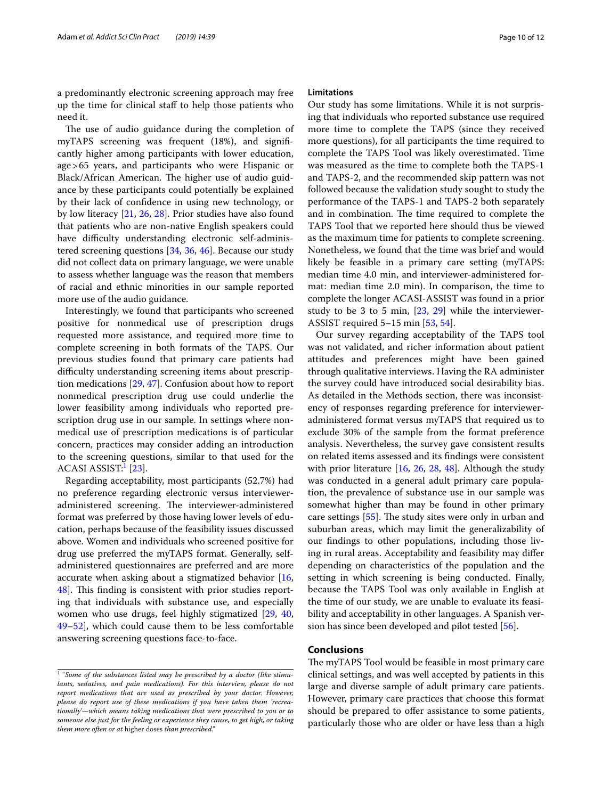a predominantly electronic screening approach may free up the time for clinical staf to help those patients who need it.

The use of audio guidance during the completion of myTAPS screening was frequent (18%), and signifcantly higher among participants with lower education, age>65 years, and participants who were Hispanic or Black/African American. The higher use of audio guidance by these participants could potentially be explained by their lack of confdence in using new technology, or by low literacy [[21,](#page-11-3) [26,](#page-11-4) [28\]](#page-11-5). Prior studies have also found that patients who are non-native English speakers could have difficulty understanding electronic self-administered screening questions [[34,](#page-11-11) [36](#page-11-16), [46](#page-11-17)]. Because our study did not collect data on primary language, we were unable to assess whether language was the reason that members of racial and ethnic minorities in our sample reported more use of the audio guidance.

Interestingly, we found that participants who screened positive for nonmedical use of prescription drugs requested more assistance, and required more time to complete screening in both formats of the TAPS. Our previous studies found that primary care patients had difficulty understanding screening items about prescription medications [\[29,](#page-11-6) [47](#page-11-18)]. Confusion about how to report nonmedical prescription drug use could underlie the lower feasibility among individuals who reported prescription drug use in our sample. In settings where nonmedical use of prescription medications is of particular concern, practices may consider adding an introduction to the screening questions, similar to that used for the ACASI ASSIST:<sup>[1](#page-9-0)</sup> [[23\]](#page-11-1).

Regarding acceptability, most participants (52.7%) had no preference regarding electronic versus intervieweradministered screening. The interviewer-administered format was preferred by those having lower levels of education, perhaps because of the feasibility issues discussed above. Women and individuals who screened positive for drug use preferred the myTAPS format. Generally, selfadministered questionnaires are preferred and are more accurate when asking about a stigmatized behavior [\[16](#page-10-11), [48\]](#page-11-19). This finding is consistent with prior studies reporting that individuals with substance use, and especially women who use drugs, feel highly stigmatized [\[29](#page-11-6), [40](#page-11-20), [49–](#page-11-21)[52](#page-11-22)], which could cause them to be less comfortable answering screening questions face-to-face.

## **Limitations**

Our study has some limitations. While it is not surprising that individuals who reported substance use required more time to complete the TAPS (since they received more questions), for all participants the time required to complete the TAPS Tool was likely overestimated. Time was measured as the time to complete both the TAPS-1 and TAPS-2, and the recommended skip pattern was not followed because the validation study sought to study the performance of the TAPS-1 and TAPS-2 both separately and in combination. The time required to complete the TAPS Tool that we reported here should thus be viewed as the maximum time for patients to complete screening. Nonetheless, we found that the time was brief and would likely be feasible in a primary care setting (myTAPS: median time 4.0 min, and interviewer-administered format: median time 2.0 min). In comparison, the time to complete the longer ACASI-ASSIST was found in a prior study to be 3 to 5 min,  $[23, 29]$  $[23, 29]$  $[23, 29]$  $[23, 29]$  $[23, 29]$  while the interviewer-ASSIST required 5–15 min [\[53,](#page-11-23) [54](#page-11-24)].

Our survey regarding acceptability of the TAPS tool was not validated, and richer information about patient attitudes and preferences might have been gained through qualitative interviews. Having the RA administer the survey could have introduced social desirability bias. As detailed in the Methods section, there was inconsistency of responses regarding preference for intervieweradministered format versus myTAPS that required us to exclude 30% of the sample from the format preference analysis. Nevertheless, the survey gave consistent results on related items assessed and its fndings were consistent with prior literature [\[16,](#page-10-11) [26](#page-11-4), [28](#page-11-5), [48\]](#page-11-19). Although the study was conducted in a general adult primary care population, the prevalence of substance use in our sample was somewhat higher than may be found in other primary care settings  $[55]$  $[55]$ . The study sites were only in urban and suburban areas, which may limit the generalizability of our fndings to other populations, including those living in rural areas. Acceptability and feasibility may difer depending on characteristics of the population and the setting in which screening is being conducted. Finally, because the TAPS Tool was only available in English at the time of our study, we are unable to evaluate its feasibility and acceptability in other languages. A Spanish version has since been developed and pilot tested [\[56\]](#page-11-26).

## **Conclusions**

The myTAPS Tool would be feasible in most primary care clinical settings, and was well accepted by patients in this large and diverse sample of adult primary care patients. However, primary care practices that choose this format should be prepared to offer assistance to some patients, particularly those who are older or have less than a high

<span id="page-9-0"></span><sup>&</sup>lt;sup>1</sup> "Some of the substances listed may be prescribed by a doctor (like stimu*lants, sedatives, and pain medications). For this interview, please do not report medications that are used as prescribed by your doctor. However, please do report use of these medications if you have taken them 'recreationally'*—*which means taking medications that were prescribed to you or to someone else just for the feeling or experience they cause, to get high, or taking them more often or at* higher doses *than prescribed."*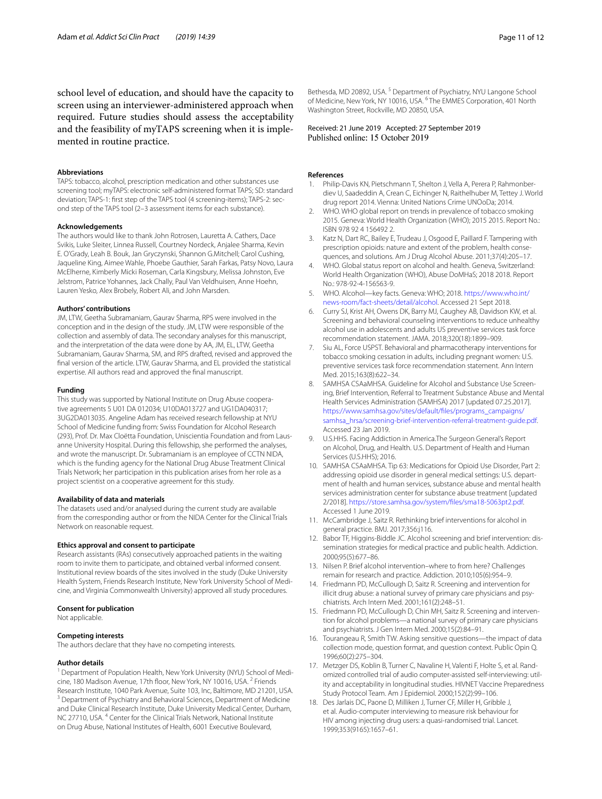school level of education, and should have the capacity to screen using an interviewer-administered approach when required. Future studies should assess the acceptability and the feasibility of myTAPS screening when it is implemented in routine practice.

#### **Abbreviations**

TAPS: tobacco, alcohol, prescription medication and other substances use screening tool; myTAPS: electronic self-administered format TAPS; SD: standard deviation; TAPS-1: frst step of the TAPS tool (4 screening-items); TAPS-2: sec‑ ond step of the TAPS tool (2–3 assessment items for each substance).

#### **Acknowledgements**

The authors would like to thank John Rotrosen, Lauretta A. Cathers, Dace Svikis, Luke Sleiter, Linnea Russell, Courtney Nordeck, Anjalee Sharma, Kevin E. O'Grady, Leah B. Bouk, Jan Gryczynski, Shannon G.Mitchell; Carol Cushing, Jaqueline King, Aimee Wahle, Phoebe Gauthier, Sarah Farkas, Patsy Novo, Laura McElherne, Kimberly Micki Roseman, Carla Kingsbury, Melissa Johnston, Eve Jelstrom, Patrice Yohannes, Jack Chally, Paul Van Veldhuisen, Anne Hoehn, Lauren Yesko, Alex Brobely, Robert Ali, and John Marsden.

## **Authors' contributions**

JM, LTW, Geetha Subramaniam, Gaurav Sharma, RPS were involved in the conception and in the design of the study. JM, LTW were responsible of the collection and assembly of data. The secondary analyses for this manuscript, and the interpretation of the data were done by AA, JM, EL, LTW, Geetha Subramaniam, Gaurav Sharma, SM, and RPS drafted, revised and approved the fnal version of the article. LTW, Gaurav Sharma, and EL provided the statistical expertise. All authors read and approved the fnal manuscript.

#### **Funding**

This study was supported by National Institute on Drug Abuse cooperative agreements 5 U01 DA 012034; U10DA013727 and UG1DA040317; 3UG2DA013035. Angeline Adam has received research fellowship at NYU School of Medicine funding from: Swiss Foundation for Alcohol Research (293), Prof. Dr. Max Cloëtta Foundation, Uniscientia Foundation and from Lausanne University Hospital. During this fellowship, she performed the analyses, and wrote the manuscript. Dr. Subramaniam is an employee of CCTN NIDA, which is the funding agency for the National Drug Abuse Treatment Clinical Trials Network; her participation in this publication arises from her role as a project scientist on a cooperative agreement for this study.

#### **Availability of data and materials**

The datasets used and/or analysed during the current study are available from the corresponding author or from the NIDA Center for the Clinical Trials Network on reasonable request.

#### **Ethics approval and consent to participate**

Research assistants (RAs) consecutively approached patients in the waiting room to invite them to participate, and obtained verbal informed consent. Institutional review boards of the sites involved in the study (Duke University Health System, Friends Research Institute, New York University School of Medicine, and Virginia Commonwealth University) approved all study procedures.

#### **Consent for publication**

Not applicable.

#### **Competing interests**

The authors declare that they have no competing interests.

#### **Author details**

<sup>1</sup> Department of Population Health, New York University (NYU) School of Medicine, 180 Madison Avenue, 17th floor, New York, NY 10016, USA.<sup>2</sup> Friends Research Institute, 1040 Park Avenue, Suite 103, Inc, Baltimore, MD 21201, USA. <sup>3</sup> Department of Psychiatry and Behavioral Sciences, Department of Medicine and Duke Clinical Research Institute, Duke University Medical Center, Durham, NC 27710, USA. <sup>4</sup> Center for the Clinical Trials Network, National Institute on Drug Abuse, National Institutes of Health, 6001 Executive Boulevard,

Bethesda, MD 20892, USA. 5 Department of Psychiatry, NYU Langone School of Medicine, New York, NY 10016, USA. 6 The EMMES Corporation, 401 North Washington Street, Rockville, MD 20850, USA.

Received: 21 June 2019 Accepted: 27 September 2019

#### **References**

- <span id="page-10-0"></span>1. Philip-Davis KN, Pietschmann T, Shelton J, Vella A, Perera P, Rahmonberdiev U, Saadeddin A, Crean C, Eichinger N, Raithelhuber M, Tettey J. World drug report 2014. Vienna: United Nations Crime UNOoDa; 2014.
- 2. WHO. WHO global report on trends in prevalence of tobacco smoking 2015. Geneva: World Health Organization (WHO); 2015 2015. Report No.: ISBN 978 92 4 156492 2.
- 3. Katz N, Dart RC, Bailey E, Trudeau J, Osgood E, Paillard F. Tampering with prescription opioids: nature and extent of the problem, health consequences, and solutions. Am J Drug Alcohol Abuse. 2011;37(4):205–17.
- WHO. Global status report on alcohol and health. Geneva, Switzerland: World Health Organization (WHO), Abuse DoMHaS; 2018 2018. Report No.: 978-92-4-156563-9.
- <span id="page-10-1"></span>5. WHO. Alcohol—key facts. Geneva: WHO; 2018. [https://www.who.int/](https://www.who.int/news-room/fact-sheets/detail/alcohol) [news-room/fact-sheets/detail/alcohol.](https://www.who.int/news-room/fact-sheets/detail/alcohol) Accessed 21 Sept 2018.
- 6. Curry SJ, Krist AH, Owens DK, Barry MJ, Caughey AB, Davidson KW, et al. Screening and behavioral counseling interventions to reduce unhealthy alcohol use in adolescents and adults US preventive services task force recommendation statement. JAMA. 2018;320(18):1899–909.
- <span id="page-10-2"></span>7. Siu AL, Force USPST. Behavioral and pharmacotherapy interventions for tobacco smoking cessation in adults, including pregnant women: U.S. preventive services task force recommendation statement. Ann Intern Med. 2015;163(8):622–34.
- <span id="page-10-3"></span>8. SAMHSA CSAaMHSA. Guideline for Alcohol and Substance Use Screening, Brief Intervention, Referral to Treatment Substance Abuse and Mental Health Services Administration (SAMHSA) 2017 [updated 07.25.2017]. [https://www.samhsa.gov/sites/default/fles/programs\\_campaigns/](https://www.samhsa.gov/sites/default/files/programs_campaigns/samhsa_hrsa/screening-brief-intervention-referral-treatment-guide.pdf) [samhsa\\_hrsa/screening-brief-intervention-referral-treatment-guide.pdf](https://www.samhsa.gov/sites/default/files/programs_campaigns/samhsa_hrsa/screening-brief-intervention-referral-treatment-guide.pdf). Accessed 23 Jan 2019.
- <span id="page-10-4"></span>9. U.S.HHS. Facing Addiction in America.The Surgeon General's Report on Alcohol, Drug, and Health. U.S. Department of Health and Human Services (U.S.HHS); 2016.
- <span id="page-10-5"></span>10. SAMHSA CSAaMHSA. Tip 63: Medications for Opioid Use Disorder, Part 2: addressing opioid use disorder in general medical settings: U.S. department of health and human services, substance abuse and mental health services administration center for substance abuse treatment [updated 2/2018]. [https://store.samhsa.gov/system/fles/sma18-5063pt2.pdf.](https://store.samhsa.gov/system/files/sma18-5063pt2.pdf) Accessed 1 June 2019.
- <span id="page-10-6"></span>11. McCambridge J, Saitz R. Rethinking brief interventions for alcohol in general practice. BMJ. 2017;356:j116.
- <span id="page-10-7"></span>12. Babor TF, Higgins-Biddle JC. Alcohol screening and brief intervention: dissemination strategies for medical practice and public health. Addiction. 2000;95(5):677–86.
- <span id="page-10-8"></span>13. Nilsen P. Brief alcohol intervention–where to from here? Challenges remain for research and practice. Addiction. 2010;105(6):954–9.
- <span id="page-10-9"></span>14. Friedmann PD, McCullough D, Saitz R. Screening and intervention for illicit drug abuse: a national survey of primary care physicians and psychiatrists. Arch Intern Med. 2001;161(2):248–51.
- <span id="page-10-10"></span>15. Friedmann PD, McCullough D, Chin MH, Saitz R. Screening and intervention for alcohol problems—a national survey of primary care physicians and psychiatrists. J Gen Intern Med. 2000;15(2):84–91.
- <span id="page-10-11"></span>16. Tourangeau R, Smith TW. Asking sensitive questions—the impact of data collection mode, question format, and question context. Public Opin Q. 1996;60(2):275–304.
- 17. Metzger DS, Koblin B, Turner C, Navaline H, Valenti F, Holte S, et al. Randomized controlled trial of audio computer-assisted self-interviewing: utility and acceptability in longitudinal studies. HIVNET Vaccine Preparedness Study Protocol Team. Am J Epidemiol. 2000;152(2):99–106.
- <span id="page-10-12"></span>18. Des Jarlais DC, Paone D, Milliken J, Turner CF, Miller H, Gribble J, et al. Audio-computer interviewing to measure risk behaviour for HIV among injecting drug users: a quasi-randomised trial. Lancet. 1999;353(9165):1657–61.